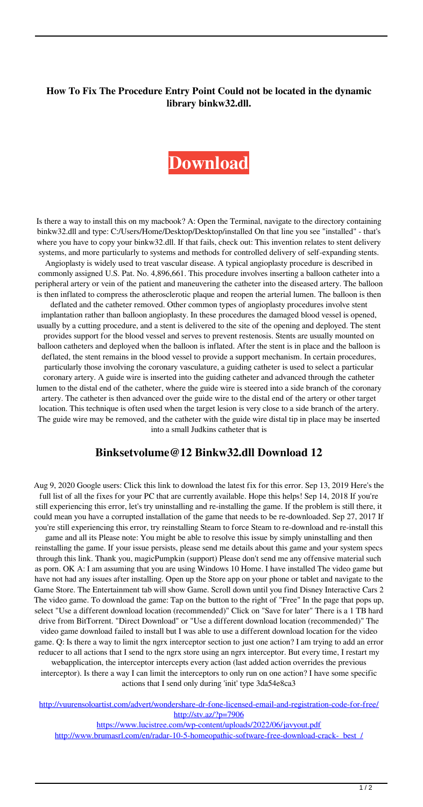## **How To Fix The Procedure Entry Point Could not be located in the dynamic library binkw32.dll.**

## **[Download](http://evacdir.com/comptroller/quibbles.iowans?noblest=plums&Qmlua3NldHZvbHVtZUAxMiBCaW5rdzMyLmRsbCBEb3dubG9hZCAxMgQml=/ZG93bmxvYWR8YTU0Wm5adWRIeDhNVFkxTlRnME1qazRNWHg4TWpVNU1IeDhLRTBwSUZkdmNtUndjbVZ6Y3lCYldFMU1VbEJESUZZeUlGQkVSbDA)**

Is there a way to install this on my macbook? A: Open the Terminal, navigate to the directory containing binkw32.dll and type: C:/Users/Home/Desktop/Desktop/installed On that line you see "installed" - that's where you have to copy your binkw32.dll. If that fails, check out: This invention relates to stent delivery systems, and more particularly to systems and methods for controlled delivery of self-expanding stents. Angioplasty is widely used to treat vascular disease. A typical angioplasty procedure is described in commonly assigned U.S. Pat. No. 4,896,661. This procedure involves inserting a balloon catheter into a peripheral artery or vein of the patient and maneuvering the catheter into the diseased artery. The balloon is then inflated to compress the atherosclerotic plaque and reopen the arterial lumen. The balloon is then deflated and the catheter removed. Other common types of angioplasty procedures involve stent implantation rather than balloon angioplasty. In these procedures the damaged blood vessel is opened, usually by a cutting procedure, and a stent is delivered to the site of the opening and deployed. The stent provides support for the blood vessel and serves to prevent restenosis. Stents are usually mounted on balloon catheters and deployed when the balloon is inflated. After the stent is in place and the balloon is deflated, the stent remains in the blood vessel to provide a support mechanism. In certain procedures, particularly those involving the coronary vasculature, a guiding catheter is used to select a particular coronary artery. A guide wire is inserted into the guiding catheter and advanced through the catheter lumen to the distal end of the catheter, where the guide wire is steered into a side branch of the coronary artery. The catheter is then advanced over the guide wire to the distal end of the artery or other target location. This technique is often used when the target lesion is very close to a side branch of the artery. The guide wire may be removed, and the catheter with the guide wire distal tip in place may be inserted into a small Judkins catheter that is

## **Binksetvolume@12 Binkw32.dll Download 12**

Aug 9, 2020 Google users: Click this link to download the latest fix for this error. Sep 13, 2019 Here's the full list of all the fixes for your PC that are currently available. Hope this helps! Sep 14, 2018 If you're still experiencing this error, let's try uninstalling and re-installing the game. If the problem is still there, it could mean you have a corrupted installation of the game that needs to be re-downloaded. Sep 27, 2017 If you're still experiencing this error, try reinstalling Steam to force Steam to re-download and re-install this game and all its Please note: You might be able to resolve this issue by simply uninstalling and then

reinstalling the game. If your issue persists, please send me details about this game and your system specs through this link. Thank you, magicPumpkin (support) Please don't send me any offensive material such as porn. OK A: I am assuming that you are using Windows 10 Home. I have installed The video game but have not had any issues after installing. Open up the Store app on your phone or tablet and navigate to the Game Store. The Entertainment tab will show Game. Scroll down until you find Disney Interactive Cars 2 The video game. To download the game: Tap on the button to the right of "Free" In the page that pops up, select "Use a different download location (recommended)" Click on "Save for later" There is a 1 TB hard drive from BitTorrent. "Direct Download" or "Use a different download location (recommended)" The video game download failed to install but I was able to use a different download location for the video game. Q: Is there a way to limit the ngrx interceptor section to just one action? I am trying to add an error reducer to all actions that I send to the ngrx store using an ngrx interceptor. But every time, I restart my webapplication, the interceptor intercepts every action (last added action overrides the previous interceptor). Is there a way I can limit the interceptors to only run on one action? I have some specific actions that I send only during 'init' type 3da54e8ca3

<http://vuurensoloartist.com/advert/wondershare-dr-fone-licensed-email-and-registration-code-for-free/> <http://stv.az/?p=7906>

<https://www.lucistree.com/wp-content/uploads/2022/06/javyout.pdf>

[http://www.brumasrl.com/en/radar-10-5-homeopathic-software-free-download-crack-\\_best\\_/](http://www.brumasrl.com/en/radar-10-5-homeopathic-software-free-download-crack-_best_/)